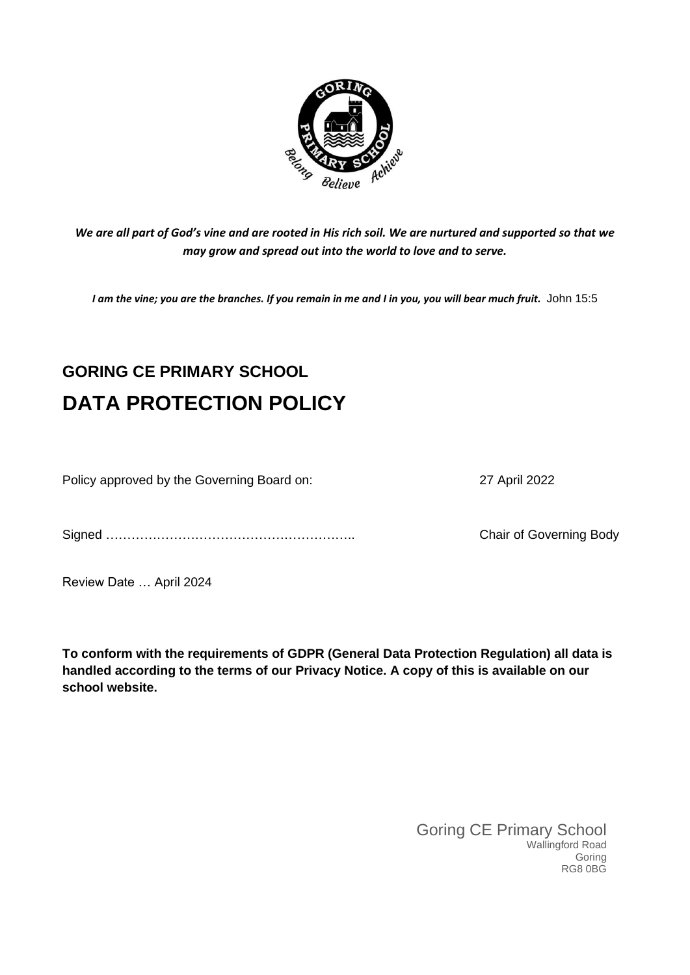

*We are all part of God's vine and are rooted in His rich soil. We are nurtured and supported so that we may grow and spread out into the world to love and to serve.*

*I am the vine; you are the branches. If you remain in me and I in you, you will bear much fruit.* John 15:5

# **GORING CE PRIMARY SCHOOL DATA PROTECTION POLICY**

Policy approved by the Governing Board on: 27 April 2022

Signed ………………………………………………….. Chair of Governing Body

Review Date … April 2024

**To conform with the requirements of GDPR (General Data Protection Regulation) all data is handled according to the terms of our Privacy Notice. A copy of this is available on our school website.** 

> Goring CE Primary School Wallingford Road Goring RG8 0BG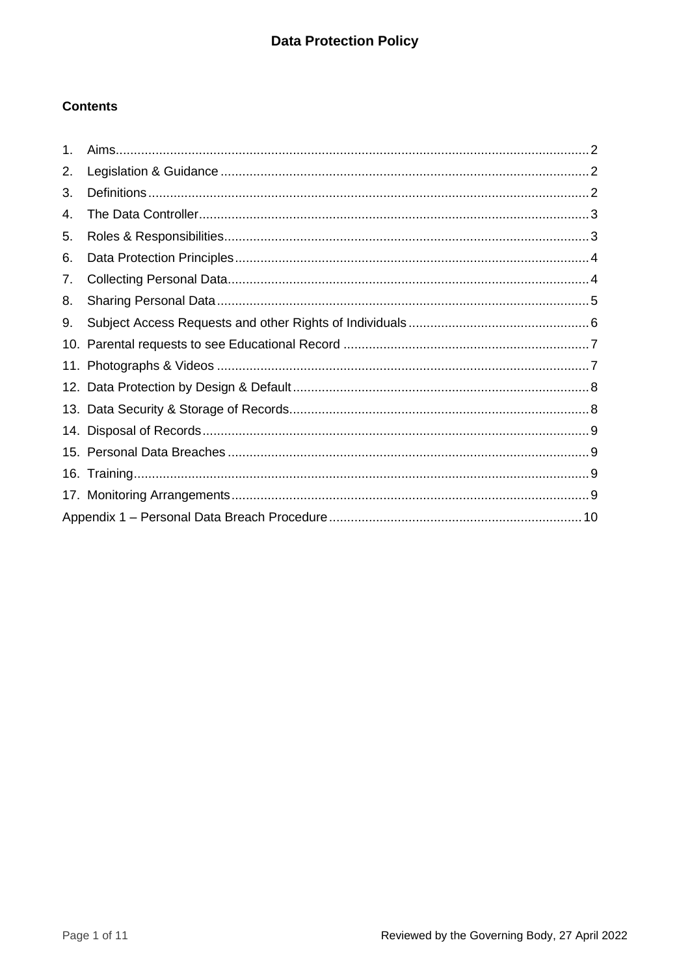# **Contents**

| $\mathbf 1$ . |  |  |  |
|---------------|--|--|--|
| 2.            |  |  |  |
| 3.            |  |  |  |
| 4.            |  |  |  |
| 5.            |  |  |  |
| 6.            |  |  |  |
| 7.            |  |  |  |
| 8.            |  |  |  |
| 9.            |  |  |  |
|               |  |  |  |
|               |  |  |  |
|               |  |  |  |
|               |  |  |  |
|               |  |  |  |
|               |  |  |  |
|               |  |  |  |
|               |  |  |  |
|               |  |  |  |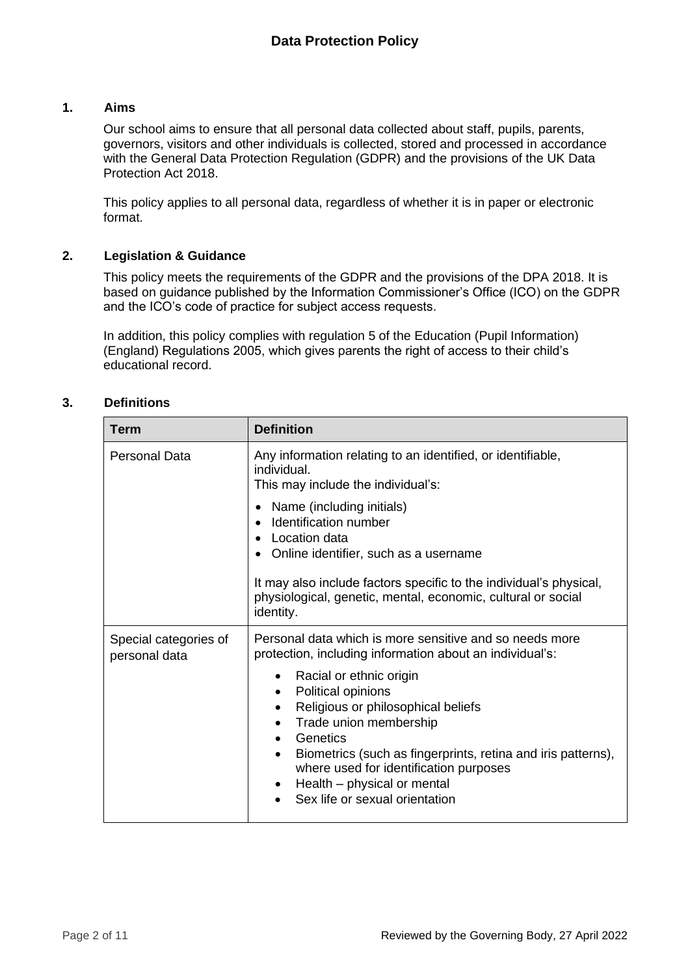#### <span id="page-2-0"></span>**1. Aims**

Our school aims to ensure that all personal data collected about staff, pupils, parents, governors, visitors and other individuals is collected, stored and processed in accordance with the General Data Protection Regulation (GDPR) and the provisions of the UK Data Protection Act 2018.

This policy applies to all personal data, regardless of whether it is in paper or electronic format.

#### <span id="page-2-1"></span>**2. Legislation & Guidance**

This policy meets the requirements of the GDPR and the provisions of the DPA 2018. It is based on guidance published by the Information Commissioner's Office (ICO) on the GDPR and the ICO's code of practice for subject access requests.

In addition, this policy complies with regulation 5 of the Education (Pupil Information) (England) Regulations 2005, which gives parents the right of access to their child's educational record.

| Term                                   | <b>Definition</b>                                                                                                                                                                                                                                                                                                 |
|----------------------------------------|-------------------------------------------------------------------------------------------------------------------------------------------------------------------------------------------------------------------------------------------------------------------------------------------------------------------|
| <b>Personal Data</b>                   | Any information relating to an identified, or identifiable,<br>individual.<br>This may include the individual's:                                                                                                                                                                                                  |
|                                        | Name (including initials)<br>$\bullet$<br>Identification number<br>$\bullet$<br>Location data<br>Online identifier, such as a username<br>It may also include factors specific to the individual's physical,<br>physiological, genetic, mental, economic, cultural or social                                      |
|                                        | identity.                                                                                                                                                                                                                                                                                                         |
| Special categories of<br>personal data | Personal data which is more sensitive and so needs more<br>protection, including information about an individual's:                                                                                                                                                                                               |
|                                        | Racial or ethnic origin<br>Political opinions<br>$\bullet$<br>Religious or philosophical beliefs<br>Trade union membership<br>Genetics<br>Biometrics (such as fingerprints, retina and iris patterns),<br>where used for identification purposes<br>Health – physical or mental<br>Sex life or sexual orientation |

## <span id="page-2-2"></span>**3. Definitions**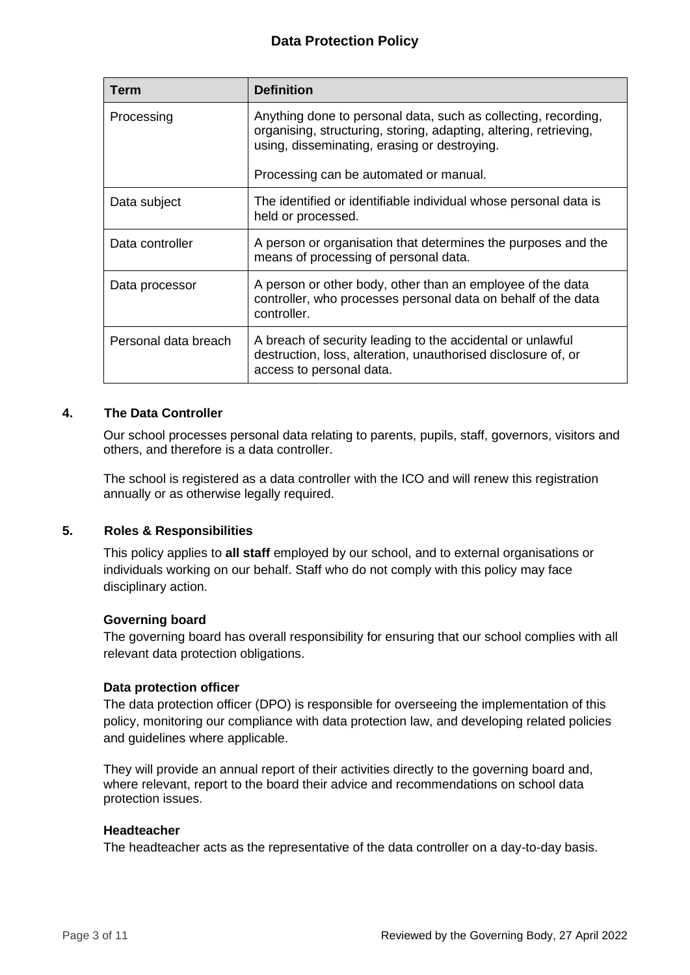# **Data Protection Policy**

| Term                 | <b>Definition</b>                                                                                                                                                                                                             |
|----------------------|-------------------------------------------------------------------------------------------------------------------------------------------------------------------------------------------------------------------------------|
| Processing           | Anything done to personal data, such as collecting, recording,<br>organising, structuring, storing, adapting, altering, retrieving,<br>using, disseminating, erasing or destroying.<br>Processing can be automated or manual. |
|                      |                                                                                                                                                                                                                               |
| Data subject         | The identified or identifiable individual whose personal data is<br>held or processed.                                                                                                                                        |
| Data controller      | A person or organisation that determines the purposes and the<br>means of processing of personal data.                                                                                                                        |
| Data processor       | A person or other body, other than an employee of the data<br>controller, who processes personal data on behalf of the data<br>controller.                                                                                    |
| Personal data breach | A breach of security leading to the accidental or unlawful<br>destruction, loss, alteration, unauthorised disclosure of, or<br>access to personal data.                                                                       |

#### <span id="page-3-0"></span>**4. The Data Controller**

Our school processes personal data relating to parents, pupils, staff, governors, visitors and others, and therefore is a data controller.

The school is registered as a data controller with the ICO and will renew this registration annually or as otherwise legally required.

#### <span id="page-3-1"></span>**5. Roles & Responsibilities**

This policy applies to **all staff** employed by our school, and to external organisations or individuals working on our behalf. Staff who do not comply with this policy may face disciplinary action.

#### **Governing board**

The governing board has overall responsibility for ensuring that our school complies with all relevant data protection obligations.

#### **Data protection officer**

The data protection officer (DPO) is responsible for overseeing the implementation of this policy, monitoring our compliance with data protection law, and developing related policies and guidelines where applicable.

They will provide an annual report of their activities directly to the governing board and, where relevant, report to the board their advice and recommendations on school data protection issues.

#### **Headteacher**

The headteacher acts as the representative of the data controller on a day-to-day basis.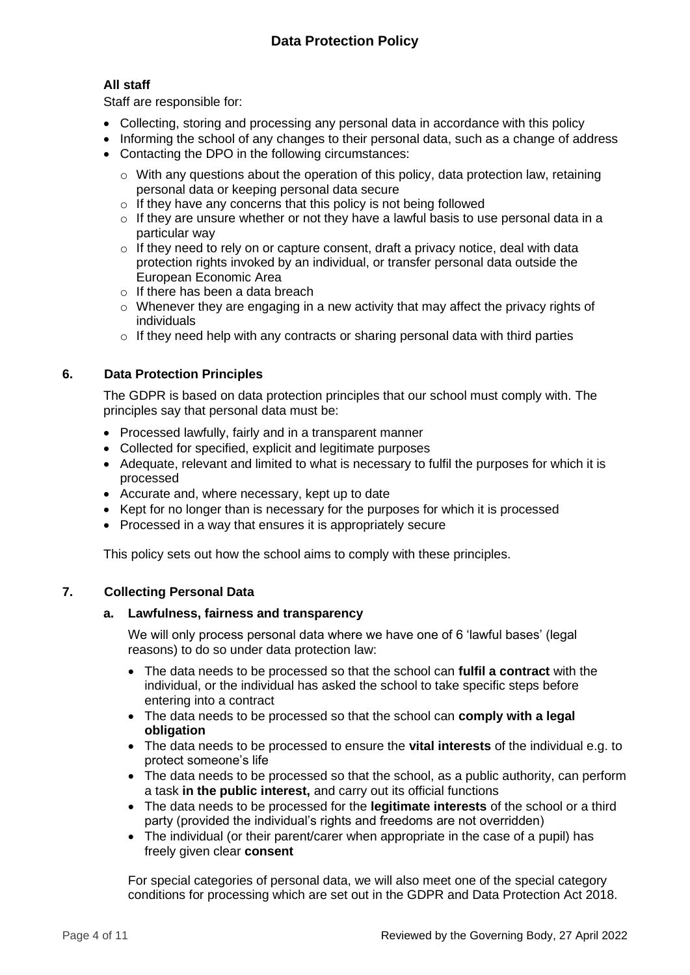# **All staff**

Staff are responsible for:

- Collecting, storing and processing any personal data in accordance with this policy
- Informing the school of any changes to their personal data, such as a change of address
- Contacting the DPO in the following circumstances:
	- $\circ$  With any questions about the operation of this policy, data protection law, retaining personal data or keeping personal data secure
	- $\circ$  If they have any concerns that this policy is not being followed
	- o If they are unsure whether or not they have a lawful basis to use personal data in a particular way
	- $\circ$  If they need to rely on or capture consent, draft a privacy notice, deal with data protection rights invoked by an individual, or transfer personal data outside the European Economic Area
	- $\circ$  If there has been a data breach
	- o Whenever they are engaging in a new activity that may affect the privacy rights of individuals
	- $\circ$  If they need help with any contracts or sharing personal data with third parties

## <span id="page-4-0"></span>**6. Data Protection Principles**

The GDPR is based on data protection principles that our school must comply with. The principles say that personal data must be:

- Processed lawfully, fairly and in a transparent manner
- Collected for specified, explicit and legitimate purposes
- Adequate, relevant and limited to what is necessary to fulfil the purposes for which it is processed
- Accurate and, where necessary, kept up to date
- Kept for no longer than is necessary for the purposes for which it is processed
- Processed in a way that ensures it is appropriately secure

This policy sets out how the school aims to comply with these principles.

## <span id="page-4-1"></span>**7. Collecting Personal Data**

## **a. Lawfulness, fairness and transparency**

We will only process personal data where we have one of 6 'lawful bases' (legal reasons) to do so under data protection law:

- The data needs to be processed so that the school can **fulfil a contract** with the individual, or the individual has asked the school to take specific steps before entering into a contract
- The data needs to be processed so that the school can **comply with a legal obligation**
- The data needs to be processed to ensure the **vital interests** of the individual e.g. to protect someone's life
- The data needs to be processed so that the school, as a public authority, can perform a task **in the public interest,** and carry out its official functions
- The data needs to be processed for the **legitimate interests** of the school or a third party (provided the individual's rights and freedoms are not overridden)
- The individual (or their parent/carer when appropriate in the case of a pupil) has freely given clear **consent**

For special categories of personal data, we will also meet one of the special category conditions for processing which are set out in the GDPR and Data Protection Act 2018.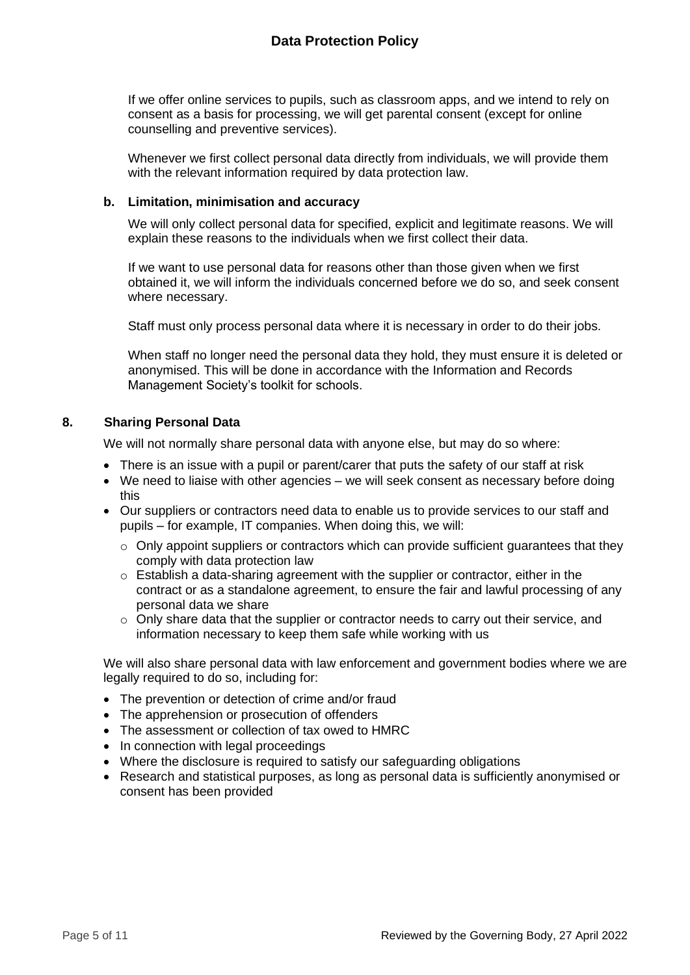If we offer online services to pupils, such as classroom apps, and we intend to rely on consent as a basis for processing, we will get parental consent (except for online counselling and preventive services).

Whenever we first collect personal data directly from individuals, we will provide them with the relevant information required by data protection law.

#### **b. Limitation, minimisation and accuracy**

We will only collect personal data for specified, explicit and legitimate reasons. We will explain these reasons to the individuals when we first collect their data.

If we want to use personal data for reasons other than those given when we first obtained it, we will inform the individuals concerned before we do so, and seek consent where necessary.

Staff must only process personal data where it is necessary in order to do their jobs.

When staff no longer need the personal data they hold, they must ensure it is deleted or anonymised. This will be done in accordance with the Information and Records Management Society's toolkit for schools.

#### <span id="page-5-0"></span>**8. Sharing Personal Data**

We will not normally share personal data with anyone else, but may do so where:

- There is an issue with a pupil or parent/carer that puts the safety of our staff at risk
- We need to liaise with other agencies we will seek consent as necessary before doing this
- Our suppliers or contractors need data to enable us to provide services to our staff and pupils – for example, IT companies. When doing this, we will:
	- $\circ$  Only appoint suppliers or contractors which can provide sufficient guarantees that they comply with data protection law
	- o Establish a data-sharing agreement with the supplier or contractor, either in the contract or as a standalone agreement, to ensure the fair and lawful processing of any personal data we share
	- $\circ$  Only share data that the supplier or contractor needs to carry out their service, and information necessary to keep them safe while working with us

We will also share personal data with law enforcement and government bodies where we are legally required to do so, including for:

- The prevention or detection of crime and/or fraud
- The apprehension or prosecution of offenders
- The assessment or collection of tax owed to HMRC
- In connection with legal proceedings
- Where the disclosure is required to satisfy our safeguarding obligations
- Research and statistical purposes, as long as personal data is sufficiently anonymised or consent has been provided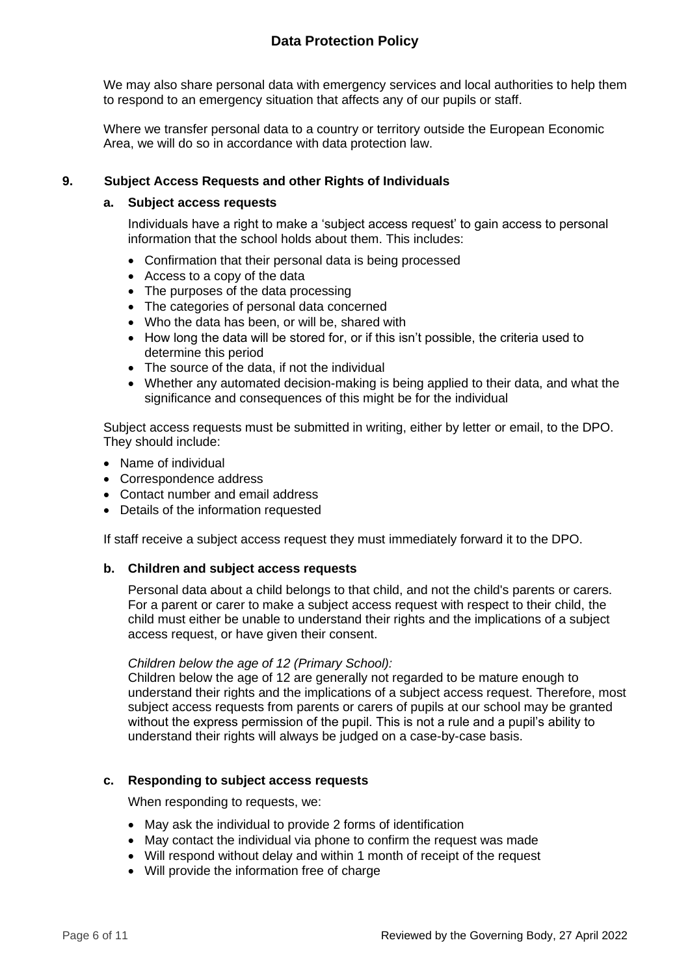# **Data Protection Policy**

We may also share personal data with emergency services and local authorities to help them to respond to an emergency situation that affects any of our pupils or staff.

Where we transfer personal data to a country or territory outside the European Economic Area, we will do so in accordance with data protection law.

#### <span id="page-6-0"></span>**9. Subject Access Requests and other Rights of Individuals**

#### **a. Subject access requests**

Individuals have a right to make a 'subject access request' to gain access to personal information that the school holds about them. This includes:

- Confirmation that their personal data is being processed
- Access to a copy of the data
- The purposes of the data processing
- The categories of personal data concerned
- Who the data has been, or will be, shared with
- How long the data will be stored for, or if this isn't possible, the criteria used to determine this period
- The source of the data, if not the individual
- Whether any automated decision-making is being applied to their data, and what the significance and consequences of this might be for the individual

Subject access requests must be submitted in writing, either by letter or email, to the DPO. They should include:

- Name of individual
- Correspondence address
- Contact number and email address
- Details of the information requested

If staff receive a subject access request they must immediately forward it to the DPO.

#### **b. Children and subject access requests**

Personal data about a child belongs to that child, and not the child's parents or carers. For a parent or carer to make a subject access request with respect to their child, the child must either be unable to understand their rights and the implications of a subject access request, or have given their consent.

#### *Children below the age of 12 (Primary School):*

Children below the age of 12 are generally not regarded to be mature enough to understand their rights and the implications of a subject access request. Therefore, most subject access requests from parents or carers of pupils at our school may be granted without the express permission of the pupil. This is not a rule and a pupil's ability to understand their rights will always be judged on a case-by-case basis.

#### **c. Responding to subject access requests**

When responding to requests, we:

- May ask the individual to provide 2 forms of identification
- May contact the individual via phone to confirm the request was made
- Will respond without delay and within 1 month of receipt of the request
- Will provide the information free of charge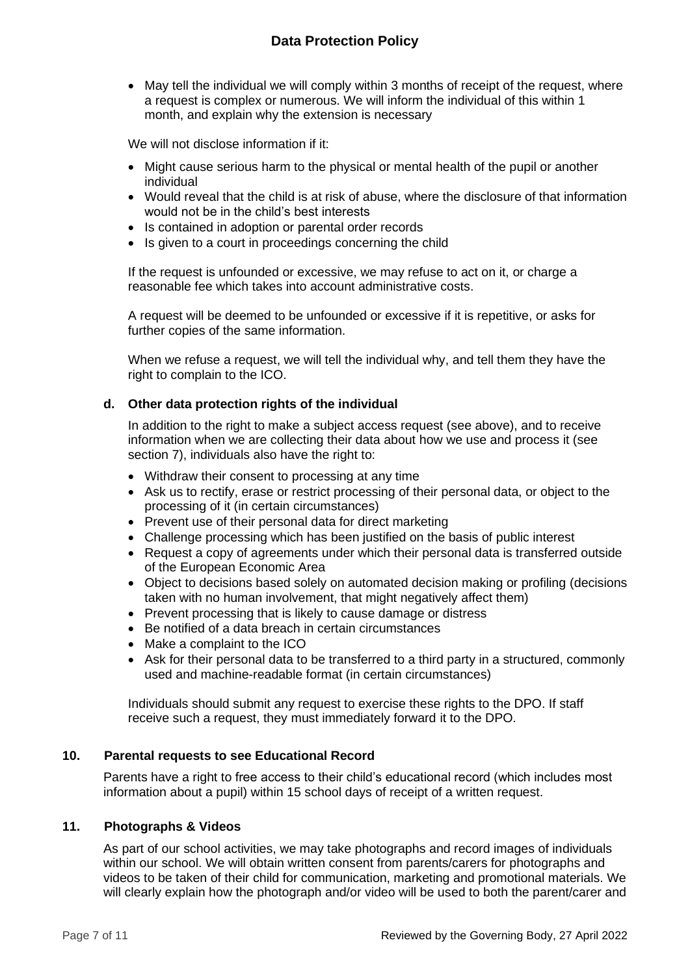• May tell the individual we will comply within 3 months of receipt of the request, where a request is complex or numerous. We will inform the individual of this within 1 month, and explain why the extension is necessary

We will not disclose information if it:

- Might cause serious harm to the physical or mental health of the pupil or another individual
- Would reveal that the child is at risk of abuse, where the disclosure of that information would not be in the child's best interests
- Is contained in adoption or parental order records
- Is given to a court in proceedings concerning the child

If the request is unfounded or excessive, we may refuse to act on it, or charge a reasonable fee which takes into account administrative costs.

A request will be deemed to be unfounded or excessive if it is repetitive, or asks for further copies of the same information.

When we refuse a request, we will tell the individual why, and tell them they have the right to complain to the ICO.

## **d. Other data protection rights of the individual**

In addition to the right to make a subject access request (see above), and to receive information when we are collecting their data about how we use and process it (see section 7), individuals also have the right to:

- Withdraw their consent to processing at any time
- Ask us to rectify, erase or restrict processing of their personal data, or object to the processing of it (in certain circumstances)
- Prevent use of their personal data for direct marketing
- Challenge processing which has been justified on the basis of public interest
- Request a copy of agreements under which their personal data is transferred outside of the European Economic Area
- Object to decisions based solely on automated decision making or profiling (decisions taken with no human involvement, that might negatively affect them)
- Prevent processing that is likely to cause damage or distress
- Be notified of a data breach in certain circumstances
- Make a complaint to the ICO
- Ask for their personal data to be transferred to a third party in a structured, commonly used and machine-readable format (in certain circumstances)

Individuals should submit any request to exercise these rights to the DPO. If staff receive such a request, they must immediately forward it to the DPO.

## <span id="page-7-0"></span>**10. Parental requests to see Educational Record**

Parents have a right to free access to their child's educational record (which includes most information about a pupil) within 15 school days of receipt of a written request.

#### <span id="page-7-1"></span>**11. Photographs & Videos**

As part of our school activities, we may take photographs and record images of individuals within our school. We will obtain written consent from parents/carers for photographs and videos to be taken of their child for communication, marketing and promotional materials. We will clearly explain how the photograph and/or video will be used to both the parent/carer and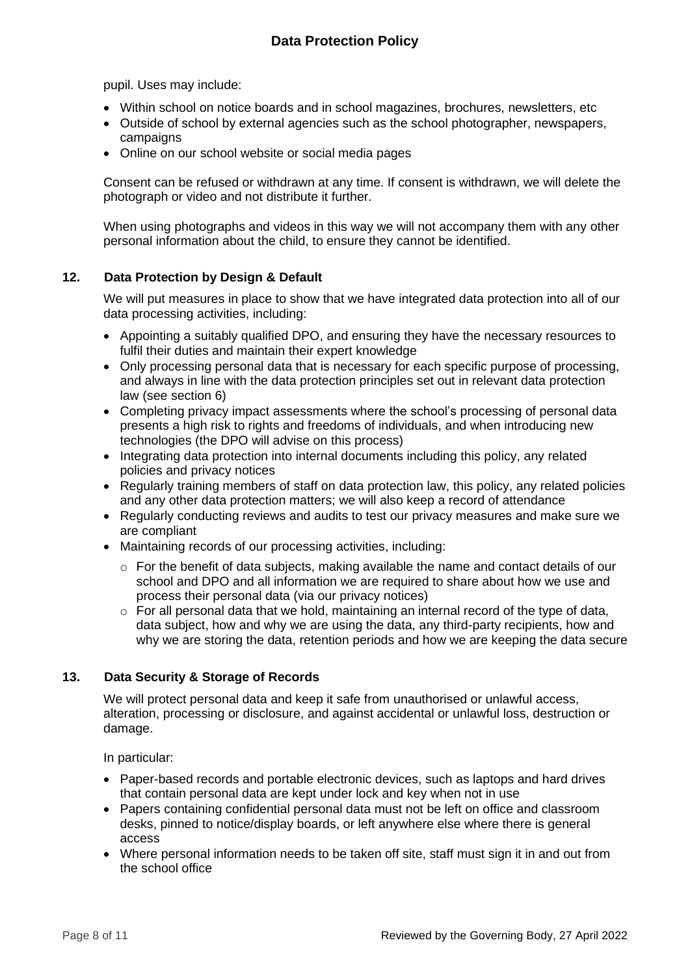pupil. Uses may include:

- Within school on notice boards and in school magazines, brochures, newsletters, etc
- Outside of school by external agencies such as the school photographer, newspapers, campaigns
- Online on our school website or social media pages

Consent can be refused or withdrawn at any time. If consent is withdrawn, we will delete the photograph or video and not distribute it further.

When using photographs and videos in this way we will not accompany them with any other personal information about the child, to ensure they cannot be identified.

## <span id="page-8-0"></span>**12. Data Protection by Design & Default**

We will put measures in place to show that we have integrated data protection into all of our data processing activities, including:

- Appointing a suitably qualified DPO, and ensuring they have the necessary resources to fulfil their duties and maintain their expert knowledge
- Only processing personal data that is necessary for each specific purpose of processing, and always in line with the data protection principles set out in relevant data protection law (see section 6)
- Completing privacy impact assessments where the school's processing of personal data presents a high risk to rights and freedoms of individuals, and when introducing new technologies (the DPO will advise on this process)
- Integrating data protection into internal documents including this policy, any related policies and privacy notices
- Regularly training members of staff on data protection law, this policy, any related policies and any other data protection matters; we will also keep a record of attendance
- Regularly conducting reviews and audits to test our privacy measures and make sure we are compliant
- Maintaining records of our processing activities, including:
	- $\circ$  For the benefit of data subjects, making available the name and contact details of our school and DPO and all information we are required to share about how we use and process their personal data (via our privacy notices)
	- o For all personal data that we hold, maintaining an internal record of the type of data, data subject, how and why we are using the data, any third-party recipients, how and why we are storing the data, retention periods and how we are keeping the data secure

## <span id="page-8-1"></span>**13. Data Security & Storage of Records**

We will protect personal data and keep it safe from unauthorised or unlawful access, alteration, processing or disclosure, and against accidental or unlawful loss, destruction or damage.

In particular:

- Paper-based records and portable electronic devices, such as laptops and hard drives that contain personal data are kept under lock and key when not in use
- Papers containing confidential personal data must not be left on office and classroom desks, pinned to notice/display boards, or left anywhere else where there is general access
- Where personal information needs to be taken off site, staff must sign it in and out from the school office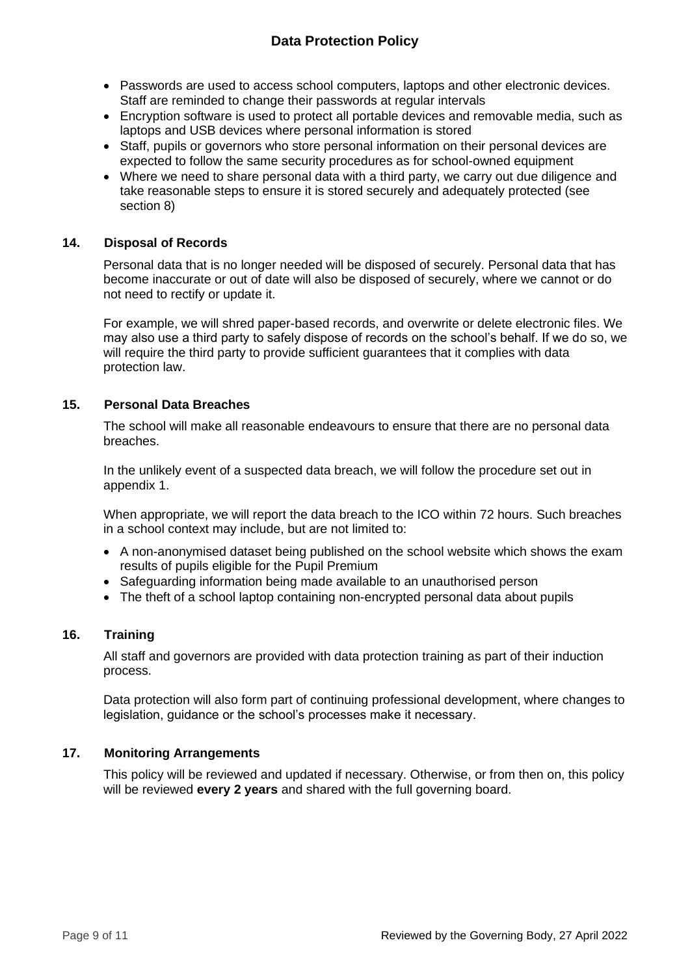# **Data Protection Policy**

- Passwords are used to access school computers, laptops and other electronic devices. Staff are reminded to change their passwords at regular intervals
- Encryption software is used to protect all portable devices and removable media, such as laptops and USB devices where personal information is stored
- Staff, pupils or governors who store personal information on their personal devices are expected to follow the same security procedures as for school-owned equipment
- Where we need to share personal data with a third party, we carry out due diligence and take reasonable steps to ensure it is stored securely and adequately protected (see section 8)

#### <span id="page-9-0"></span>**14. Disposal of Records**

Personal data that is no longer needed will be disposed of securely. Personal data that has become inaccurate or out of date will also be disposed of securely, where we cannot or do not need to rectify or update it.

For example, we will shred paper-based records, and overwrite or delete electronic files. We may also use a third party to safely dispose of records on the school's behalf. If we do so, we will require the third party to provide sufficient guarantees that it complies with data protection law.

## <span id="page-9-1"></span>**15. Personal Data Breaches**

The school will make all reasonable endeavours to ensure that there are no personal data breaches.

In the unlikely event of a suspected data breach, we will follow the procedure set out in appendix 1.

When appropriate, we will report the data breach to the ICO within 72 hours. Such breaches in a school context may include, but are not limited to:

- A non-anonymised dataset being published on the school website which shows the exam results of pupils eligible for the Pupil Premium
- Safeguarding information being made available to an unauthorised person
- The theft of a school laptop containing non-encrypted personal data about pupils

#### <span id="page-9-2"></span>**16. Training**

All staff and governors are provided with data protection training as part of their induction process.

Data protection will also form part of continuing professional development, where changes to legislation, guidance or the school's processes make it necessary.

#### <span id="page-9-3"></span>**17. Monitoring Arrangements**

This policy will be reviewed and updated if necessary. Otherwise, or from then on, this policy will be reviewed **every 2 years** and shared with the full governing board.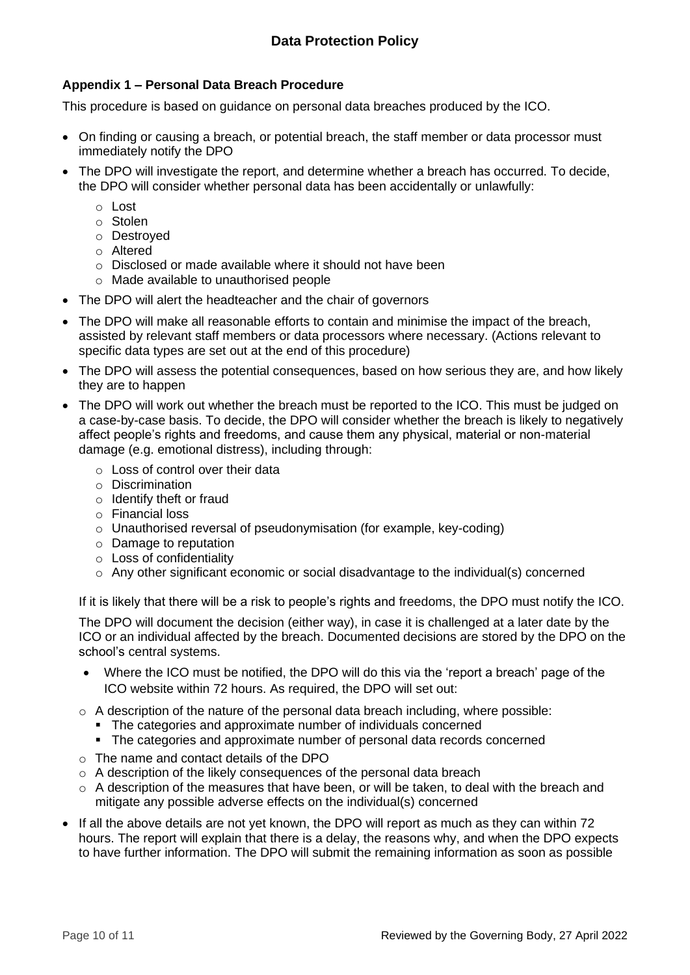# <span id="page-10-0"></span>**Appendix 1 – Personal Data Breach Procedure**

This procedure is based on guidance on personal data breaches produced by the ICO.

- On finding or causing a breach, or potential breach, the staff member or data processor must immediately notify the DPO
- The DPO will investigate the report, and determine whether a breach has occurred. To decide, the DPO will consider whether personal data has been accidentally or unlawfully:
	- o Lost
	- o Stolen
	- o Destroyed
	- o Altered
	- o Disclosed or made available where it should not have been
	- o Made available to unauthorised people
- The DPO will alert the headteacher and the chair of governors
- The DPO will make all reasonable efforts to contain and minimise the impact of the breach, assisted by relevant staff members or data processors where necessary. (Actions relevant to specific data types are set out at the end of this procedure)
- The DPO will assess the potential consequences, based on how serious they are, and how likely they are to happen
- The DPO will work out whether the breach must be reported to the ICO. This must be judged on a case-by-case basis. To decide, the DPO will consider whether the breach is likely to negatively affect people's rights and freedoms, and cause them any physical, material or non-material damage (e.g. emotional distress), including through:
	- o Loss of control over their data
	- o Discrimination
	- o Identify theft or fraud
	- o Financial loss
	- o Unauthorised reversal of pseudonymisation (for example, key-coding)
	- o Damage to reputation
	- o Loss of confidentiality
	- $\circ$  Any other significant economic or social disadvantage to the individual(s) concerned

If it is likely that there will be a risk to people's rights and freedoms, the DPO must notify the ICO.

The DPO will document the decision (either way), in case it is challenged at a later date by the ICO or an individual affected by the breach. Documented decisions are stored by the DPO on the school's central systems.

- Where the ICO must be notified, the DPO will do this via the 'report a breach' page of the ICO website within 72 hours. As required, the DPO will set out:
- $\circ$  A description of the nature of the personal data breach including, where possible:
	- The categories and approximate number of individuals concerned
	- The categories and approximate number of personal data records concerned
- o The name and contact details of the DPO
- $\circ$  A description of the likely consequences of the personal data breach
- $\circ$  A description of the measures that have been, or will be taken, to deal with the breach and mitigate any possible adverse effects on the individual(s) concerned
- If all the above details are not yet known, the DPO will report as much as they can within 72 hours. The report will explain that there is a delay, the reasons why, and when the DPO expects to have further information. The DPO will submit the remaining information as soon as possible